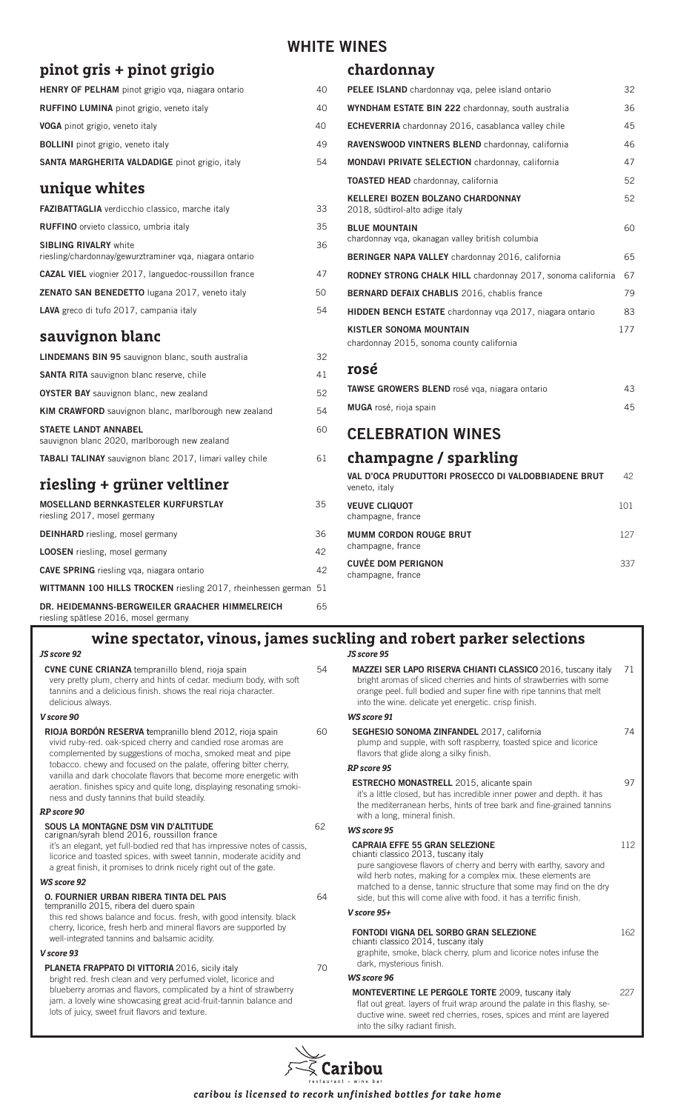# **pinot gris + pinot grigio**

| <b>HENRY OF PELHAM</b> pinot grigio vqa, niagara ontario | 40 |
|----------------------------------------------------------|----|
| <b>RUFFINO LUMINA</b> pinot grigio, veneto italy         | 40 |
| <b>VOGA</b> pinot grigio, veneto italy                   | 40 |
| <b>BOLLINI</b> pinot grigio, veneto italy                | 49 |
| SANTA MARGHERITA VALDADIGE pinot grigio, italy           | 54 |

#### **unique whites**

| <b>FAZIBATTAGLIA</b> verdicchio classico, marche italy                                  | 33 |
|-----------------------------------------------------------------------------------------|----|
| <b>RUFFINO</b> orvieto classico, umbria italy                                           | 35 |
| <b>SIBLING RIVALRY white</b><br>riesling/chardonnay/gewurztraminer vga, niagara ontario | 36 |
| <b>CAZAL VIEL</b> viognier 2017, languedoc-roussillon france                            | 47 |
| <b>ZENATO SAN BENEDETTO</b> lugana 2017, veneto italy                                   | 50 |
| LAVA greco di tufo 2017, campania italy                                                 | 54 |
|                                                                                         |    |

#### **sauvignon blanc**

riesling spätlese 2016, mosel germany

*JS score 92*

| 32                                                              |  |  |  |  |
|-----------------------------------------------------------------|--|--|--|--|
| 41                                                              |  |  |  |  |
| 52                                                              |  |  |  |  |
| 54                                                              |  |  |  |  |
| 60                                                              |  |  |  |  |
| 61                                                              |  |  |  |  |
| riesling + grüner veltliner                                     |  |  |  |  |
| 35                                                              |  |  |  |  |
| 36                                                              |  |  |  |  |
| 42                                                              |  |  |  |  |
| 42                                                              |  |  |  |  |
| WITTMANN 100 HILLS TROCKEN riesling 2017, rheinhessen german 51 |  |  |  |  |
|                                                                 |  |  |  |  |

**DR. HEIDEMANNS-BERGWEILER GRAACHER HIMMELREICH** 65

# **WHITE WINES**

#### **chardonnay**

| <b>PELEE ISLAND</b> chardonnay vga, pelee island ontario                    | 32  |
|-----------------------------------------------------------------------------|-----|
| <b>WYNDHAM ESTATE BIN 222</b> chardonnay, south australia                   | 36  |
| <b>ECHEVERRIA</b> chardonnay 2016, casablanca valley chile                  | 45  |
| RAVENSWOOD VINTNERS BLEND chardonnay, california                            | 46  |
| <b>MONDAVI PRIVATE SELECTION</b> chardonnay, california                     | 47  |
| <b>TOASTED HEAD</b> chardonnay, california                                  | 52  |
| KELLEREI BOZEN BOLZANO CHARDONNAY<br>2018, südtirol-alto adige italy        | 52  |
| <b>BLUE MOUNTAIN</b><br>chardonnay vga, okanagan valley british columbia    | 60  |
| <b>BERINGER NAPA VALLEY</b> chardonnay 2016, california                     | 65  |
| <b>RODNEY STRONG CHALK HILL</b> chardonnay 2017, sonoma california          | 67  |
| <b>BERNARD DEFAIX CHABLIS</b> 2016, chablis france                          | 79  |
| <b>HIDDEN BENCH ESTATE</b> chardonnay vga 2017, niagara ontario             | 83  |
| <b>KISTLER SONOMA MOUNTAIN</b><br>chardonnay 2015, sonoma county california | 177 |
| rosé                                                                        |     |
| TAWSE GROWERS BLEND rosé vga, niagara ontario                               | 43  |
| <b>MUGA</b> rosé, rioja spain                                               | 45  |
| <b>CELEBRATION WINES</b>                                                    |     |
| champagne / sparkling                                                       |     |
| VAL D'OCA PRUDUTTORI PROSECCO DI VALDOBBIADENE BRUT                         | 42  |

| VAL D'OCA PRUDUTTORI PROSECCO DI VALDOBBIADENE BRUT<br>veneto, italy | 42. |
|----------------------------------------------------------------------|-----|
| <b>VEUVE CLIQUOT</b><br>champagne, france                            | 101 |
| <b>MUMM CORDON ROUGE BRUT</b><br>champagne, france                   | 127 |
| <b>CUVÉE DOM PERIGNON</b><br>champagne, france                       | 337 |

## *JS score 95* **wine spectator, vinous, james suckling and robert parker selections**

| <b>CVNE CUNE CRIANZA</b> tempranillo blend, rioja spain<br>very pretty plum, cherry and hints of cedar, medium body, with soft<br>tannins and a delicious finish, shows the real rioja character.<br>delicious always.                                                                  | 54 | MAZZEI SER LAPO RISERVA CHIANTI CLASSICO 2016, tuscany italy<br>bright aromas of sliced cherries and hints of strawberries with some<br>orange peel. full bodied and super fine with ripe tannins that melt<br>into the wine, delicate yet energetic, crisp finish. |
|-----------------------------------------------------------------------------------------------------------------------------------------------------------------------------------------------------------------------------------------------------------------------------------------|----|---------------------------------------------------------------------------------------------------------------------------------------------------------------------------------------------------------------------------------------------------------------------|
| V score 90                                                                                                                                                                                                                                                                              |    | <b>WS score 91</b>                                                                                                                                                                                                                                                  |
| <b>RIOJA BORDÓN RESERVA tempranillo blend 2012, rioja spain</b><br>vivid ruby-red. oak-spiced cherry and candied rose aromas are<br>complemented by suggestions of mocha, smoked meat and pipe                                                                                          |    | SEGHESIO SONOMA ZINFANDEL 2017, california<br>plump and supple, with soft raspberry, toasted spice and licorice<br>flavors that glide along a silky finish.                                                                                                         |
| tobacco, chewy and focused on the palate, offering bitter cherry,<br>vanilla and dark chocolate flavors that become more energetic with                                                                                                                                                 |    | RP score 95                                                                                                                                                                                                                                                         |
| aeration. finishes spicy and quite long, displaying resonating smoki-<br>ness and dusty tannins that build steadily.                                                                                                                                                                    |    | <b>ESTRECHO MONASTRELL</b> 2015, alicante spain<br>it's a little closed, but has incredible inner power and depth. it has<br>the mediterranean herbs, hints of tree bark and fine-grained tanning                                                                   |
| RP score 90                                                                                                                                                                                                                                                                             |    | with a long, mineral finish.                                                                                                                                                                                                                                        |
| SOUS LA MONTAGNE DSM VIN D'ALTITUDE<br>carignan/syrah blend 2016, roussillon france                                                                                                                                                                                                     | 62 | <b>WS score 95</b>                                                                                                                                                                                                                                                  |
| it's an elegant, yet full-bodied red that has impressive notes of cassis,<br>licorice and toasted spices, with sweet tannin, moderate acidity and<br>a great finish, it promises to drink nicely right out of the gate.                                                                 |    | <b>CAPRAIA EFFE 55 GRAN SELEZIONE</b><br>chianti classico 2013, tuscany italy<br>pure sangiovese flavors of cherry and berry with earthy, savory and<br>wild herb notes, making for a complex mix. these elements are                                               |
| <b>WS score 92</b>                                                                                                                                                                                                                                                                      |    | matched to a dense, tannic structure that some may find on the dry                                                                                                                                                                                                  |
| <b>O. FOURNIER URBAN RIBERA TINTA DEL PAIS</b><br>tempranillo 2015, ribera del duero spain<br>this red shows balance and focus, fresh, with good intensity, black<br>cherry, licorice, fresh herb and mineral flavors are supported by<br>well-integrated tannins and balsamic acidity. |    | side, but this will come alive with food. it has a terrific finish.                                                                                                                                                                                                 |
|                                                                                                                                                                                                                                                                                         |    | V score 95+                                                                                                                                                                                                                                                         |
|                                                                                                                                                                                                                                                                                         |    | FONTODI VIGNA DEL SORBO GRAN SELEZIONE<br>chianti classico 2014, tuscany italy                                                                                                                                                                                      |
| V score 93                                                                                                                                                                                                                                                                              |    | graphite, smoke, black cherry, plum and licorice notes infuse the                                                                                                                                                                                                   |
| <b>PLANETA FRAPPATO DI VITTORIA 2016, sicily italy</b><br>70<br>bright red. fresh clean and very perfumed violet, licorice and                                                                                                                                                          |    | dark, mysterious finish.                                                                                                                                                                                                                                            |
|                                                                                                                                                                                                                                                                                         |    | <b>WS score 96</b>                                                                                                                                                                                                                                                  |
| blueberry aromas and flavors, complicated by a hint of strawberry<br>jam, a lovely wine showcasing great acid-fruit-tannin balance and<br>lots of juicy, sweet fruit flavors and texture.                                                                                               |    | <b>MONTEVERTINE LE PERGOLE TORTE 2009, tuscany italy</b><br>flat out great. layers of fruit wrap around the palate in this flashy, se-<br>ductive wine, sweet red cherries, roses, spices and mint are layered<br>into the silky radiant finish.                    |

**SERVA CHIANTI CLASSICO** 2016, tuscany italy 71 d cherries and hints of strawberries with some ed and super fine with ripe tannins that melt yet energetic. crisp finish. **SINFANDEL** 2017, california **74** ith soft raspberry, toasted spice and licorice g a silky finish. **ELL** 2015, alicante spain 97 has incredible inner power and depth. it has rbs, hints of tree bark and fine-grained tannins nish. **AN SELEZIONE** 112 tuscany italy rs of cherry and berry with earthy, savory and ng for a complex mix. these elements are tannic structure that some may find on the dry ie alive with food. it has a terrific finish. **FORBO GRAN SELEZIONE 162** tuscany italy k cherry, plum and licorice notes infuse the dark, mysterious finish. **ERGOLE TORTE** 2009, tuscany italy 227 fruit wrap around the palate in this flashy, se-

 $\bar \varsigma$  Caribou